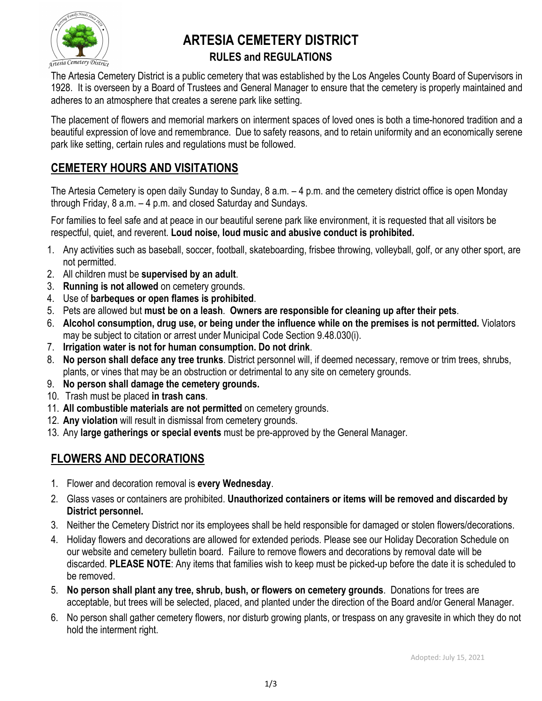

# **ARTESIA CEMETERY DISTRICT RULES and REGULATIONS**

The Artesia Cemetery District is a public cemetery that was established by the Los Angeles County Board of Supervisors in 1928. It is overseen by a Board of Trustees and General Manager to ensure that the cemetery is properly maintained and adheres to an atmosphere that creates a serene park like setting.

The placement of flowers and memorial markers on interment spaces of loved ones is both a time-honored tradition and a beautiful expression of love and remembrance. Due to safety reasons, and to retain uniformity and an economically serene park like setting, certain rules and regulations must be followed.

## **CEMETERY HOURS AND VISITATIONS**

The Artesia Cemetery is open daily Sunday to Sunday, 8 a.m. – 4 p.m. and the cemetery district office is open Monday through Friday, 8 a.m. – 4 p.m. and closed Saturday and Sundays.

For families to feel safe and at peace in our beautiful serene park like environment, it is requested that all visitors be respectful, quiet, and reverent. **Loud noise, loud music and abusive conduct is prohibited.**

- 1. Any activities such as baseball, soccer, football, skateboarding, frisbee throwing, volleyball, golf, or any other sport, are not permitted.
- 2. All children must be **supervised by an adult**.
- 3. **Running is not allowed** on cemetery grounds.
- 4. Use of **barbeques or open flames is prohibited**.
- 5. Pets are allowed but **must be on a leash**. **Owners are responsible for cleaning up after their pets**.
- 6. **Alcohol consumption, drug use, or being under the influence while on the premises is not permitted.** Violators may be subject to citation or arrest under Municipal Code Section 9.48.030(i).
- 7. **Irrigation water is not for human consumption. Do not drink**.
- 8. **No person shall deface any tree trunks**. District personnel will, if deemed necessary, remove or trim trees, shrubs, plants, or vines that may be an obstruction or detrimental to any site on cemetery grounds.
- 9. **No person shall damage the cemetery grounds.**
- 10. Trash must be placed **in trash cans**.
- 11. **All combustible materials are not permitted** on cemetery grounds.
- 12. **Any violation** will result in dismissal from cemetery grounds.
- 13. Any **large gatherings or special events** must be pre-approved by the General Manager.

### **FLOWERS AND DECORATIONS**

- 1. Flower and decoration removal is **every Wednesday**.
- 2. Glass vases or containers are prohibited. **Unauthorized containers or items will be removed and discarded by District personnel.**
- 3. Neither the Cemetery District nor its employees shall be held responsible for damaged or stolen flowers/decorations.
- 4. Holiday flowers and decorations are allowed for extended periods. Please see our Holiday Decoration Schedule on our website and cemetery bulletin board. Failure to remove flowers and decorations by removal date will be discarded. **PLEASE NOTE**: Any items that families wish to keep must be picked-up before the date it is scheduled to be removed.
- 5. **No person shall plant any tree, shrub, bush, or flowers on cemetery grounds**. Donations for trees are acceptable, but trees will be selected, placed, and planted under the direction of the Board and/or General Manager.
- 6. No person shall gather cemetery flowers, nor disturb growing plants, or trespass on any gravesite in which they do not hold the interment right.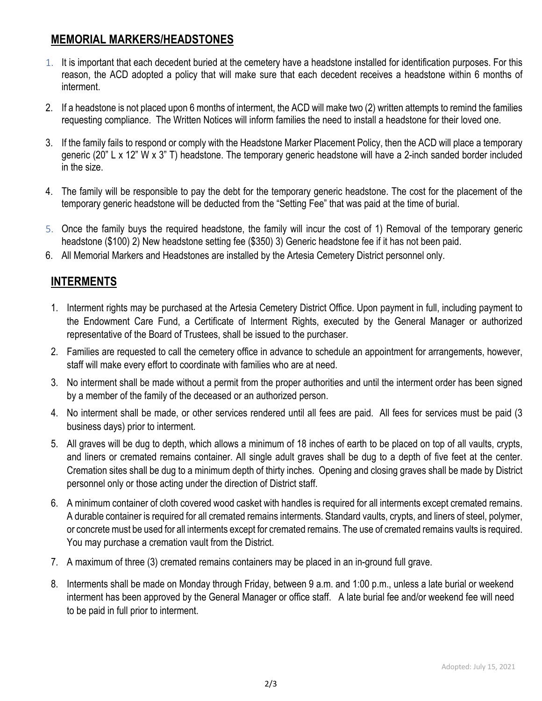### **MEMORIAL MARKERS/HEADSTONES**

- 1. It is important that each decedent buried at the cemetery have a headstone installed for identification purposes. For this reason, the ACD adopted a policy that will make sure that each decedent receives a headstone within 6 months of interment.
- 2. If a headstone is not placed upon 6 months of interment, the ACD will make two (2) written attempts to remind the families requesting compliance. The Written Notices will inform families the need to install a headstone for their loved one.
- 3. If the family fails to respond or comply with the Headstone Marker Placement Policy, then the ACD will place a temporary generic (20" L x 12" W x 3" T) headstone. The temporary generic headstone will have a 2-inch sanded border included in the size.
- 4. The family will be responsible to pay the debt for the temporary generic headstone. The cost for the placement of the temporary generic headstone will be deducted from the "Setting Fee" that was paid at the time of burial.
- 5. Once the family buys the required headstone, the family will incur the cost of 1) Removal of the temporary generic headstone (\$100) 2) New headstone setting fee (\$350) 3) Generic headstone fee if it has not been paid.
- 6. All Memorial Markers and Headstones are installed by the Artesia Cemetery District personnel only.

### **INTERMENTS**

- 1. Interment rights may be purchased at the Artesia Cemetery District Office. Upon payment in full, including payment to the Endowment Care Fund, a Certificate of Interment Rights, executed by the General Manager or authorized representative of the Board of Trustees, shall be issued to the purchaser.
- 2. Families are requested to call the cemetery office in advance to schedule an appointment for arrangements, however, staff will make every effort to coordinate with families who are at need.
- 3. No interment shall be made without a permit from the proper authorities and until the interment order has been signed by a member of the family of the deceased or an authorized person.
- 4. No interment shall be made, or other services rendered until all fees are paid. All fees for services must be paid (3 business days) prior to interment.
- 5. All graves will be dug to depth, which allows a minimum of 18 inches of earth to be placed on top of all vaults, crypts, and liners or cremated remains container. All single adult graves shall be dug to a depth of five feet at the center. Cremation sites shall be dug to a minimum depth of thirty inches. Opening and closing graves shall be made by District personnel only or those acting under the direction of District staff.
- 6. A minimum container of cloth covered wood casket with handles is required for all interments except cremated remains. A durable container is required for all cremated remains interments. Standard vaults, crypts, and liners of steel, polymer, or concrete must be used for all interments except for cremated remains. The use of cremated remains vaults is required. You may purchase a cremation vault from the District.
- 7. A maximum of three (3) cremated remains containers may be placed in an in-ground full grave.
- 8. Interments shall be made on Monday through Friday, between 9 a.m. and 1:00 p.m., unless a late burial or weekend interment has been approved by the General Manager or office staff. A late burial fee and/or weekend fee will need to be paid in full prior to interment.